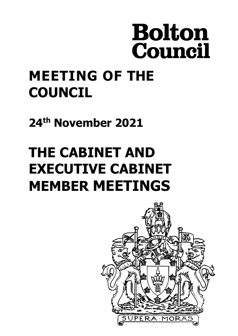# **Bolton** Council

# **MEETING OF THE COUNCIL**

**24th November 2021**

# **THE CABINET AND EXECUTIVE CABINET MEMBER MEETINGS**

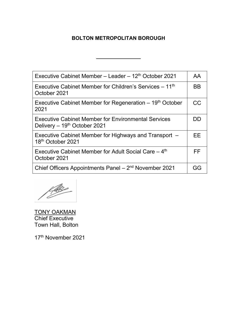#### **BOLTON METROPOLITAN BOROUGH**

| Executive Cabinet Member – Leader – 12th October 2021                                      | <b>AA</b> |
|--------------------------------------------------------------------------------------------|-----------|
| Executive Cabinet Member for Children's Services – 11 <sup>th</sup><br>October 2021        | BB        |
| Executive Cabinet Member for Regeneration $-19th$ October<br>2021                          | CC        |
| <b>Executive Cabinet Member for Environmental Services</b><br>Delivery - 19th October 2021 | DD        |
| Executive Cabinet Member for Highways and Transport –<br>18th October 2021                 | FF.       |
| Executive Cabinet Member for Adult Social Care $-4th$<br>October 2021                      | FF.       |
| Chief Officers Appointments Panel - 2 <sup>nd</sup> November 2021                          | GG        |
|                                                                                            |           |

fle

<u>TONY OAKMAN</u> Chief Executive Town Hall, Bolton

17th November 2021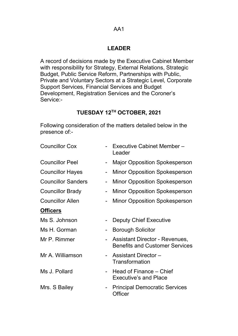#### AA1

#### **LEADER**

A record of decisions made by the Executive Cabinet Member with responsibility for Strategy, External Relations, Strategic Budget, Public Service Reform, Partnerships with Public, Private and Voluntary Sectors at a Strategic Level, Corporate Support Services, Financial Services and Budget Development, Registration Services and the Coroner's Service:-

# **TUESDAY 12TH OCTOBER, 2021**

Following consideration of the matters detailed below in the presence of:-

| <b>Councillor Cox</b>     | Executive Cabinet Member-<br>Leader                                     |
|---------------------------|-------------------------------------------------------------------------|
| <b>Councillor Peel</b>    | <b>Major Opposition Spokesperson</b>                                    |
| <b>Councillor Hayes</b>   | <b>Minor Opposition Spokesperson</b>                                    |
| <b>Councillor Sanders</b> | <b>Minor Opposition Spokesperson</b>                                    |
| <b>Councillor Brady</b>   | <b>Minor Opposition Spokesperson</b>                                    |
| <b>Councillor Allen</b>   | <b>Minor Opposition Spokesperson</b>                                    |
| <b>Officers</b>           |                                                                         |
| Ms S. Johnson             | <b>Deputy Chief Executive</b>                                           |
| Ms H. Gorman              | <b>Borough Solicitor</b>                                                |
| Mr P. Rimmer              | Assistant Director - Revenues,<br><b>Benefits and Customer Services</b> |
| Mr A. Williamson          | <b>Assistant Director -</b><br><b>Transformation</b>                    |
| Ms J. Pollard             | Head of Finance – Chief<br><b>Executive's and Place</b>                 |
| Mrs. S Bailey             | <b>Principal Democratic Services</b><br>Officer                         |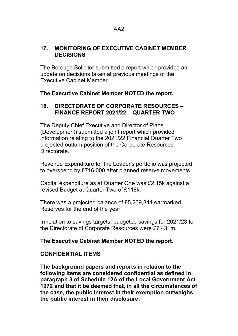#### **17. MONITORING OF EXECUTIVE CABINET MEMBER DECISIONS**

The Borough Solicitor submitted a report which provided an update on decisions taken at previous meetings of the Executive Cabinet Member.

#### **The Executive Cabinet Member NOTED the report.**

#### **18. DIRECTORATE OF CORPORATE RESOURCES – FINANCE REPORT 2021/22 – QUARTER TWO**

The Deputy Chief Executive and Director of Place (Development) submitted a joint report which provided information relating to the 2021/22 Financial Quarter Two projected outturn position of the Corporate Resources **Directorate** 

Revenue Expenditure for the Leader's portfolio was projected to overspend by £716,000 after planned reserve movements.

Capital expenditure as at Quarter One was £2.15k against a revised Budget at Quarter Two of £118k.

There was a projected balance of £5,269,841 earmarked Reserves for the end of the year.

In relation to savings targets, budgeted savings for 2021/23 for the Directorate of Corporate Resources were £7.431m.

#### **The Executive Cabinet Member NOTED the report.**

#### **CONFIDENTIAL ITEMS**

**The background papers and reports in relation to the following items are considered confidential as defined in paragraph 3 of Schedule 12A of the Local Government Act 1972 and that it be deemed that, in all the circumstances of the case, the public interest in their exemption outweighs the public interest in their disclosure.**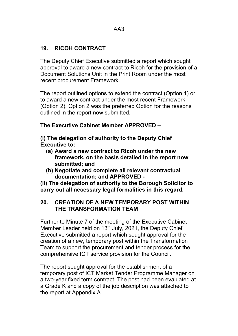#### **19. RICOH CONTRACT**

The Deputy Chief Executive submitted a report which sought approval to award a new contract to Ricoh for the provision of a Document Solutions Unit in the Print Room under the most recent procurement Framework.

The report outlined options to extend the contract (Option 1) or to award a new contract under the most recent Framework (Option 2). Option 2 was the preferred Option for the reasons outlined in the report now submitted.

#### **The Executive Cabinet Member APPROVED –**

**(i) The delegation of authority to the Deputy Chief Executive to:**

- **(a) Award a new contract to Ricoh under the new framework, on the basis detailed in the report now submitted; and**
- **(b) Negotiate and complete all relevant contractual documentation; and APPROVED -**

**(ii) The delegation of authority to the Borough Solicitor to carry out all necessary legal formalities in this regard.**

#### **20. CREATION OF A NEW TEMPORARY POST WITHIN THE TRANSFORMATION TEAM**

Further to Minute 7 of the meeting of the Executive Cabinet Member Leader held on  $13<sup>th</sup>$  July, 2021, the Deputy Chief Executive submitted a report which sought approval for the creation of a new, temporary post within the Transformation Team to support the procurement and tender process for the comprehensive ICT service provision for the Council.

The report sought approval for the establishment of a temporary post of ICT Market Tender Programme Manager on a two-year fixed term contract. The post had been evaluated at a Grade K and a copy of the job description was attached to the report at Appendix A.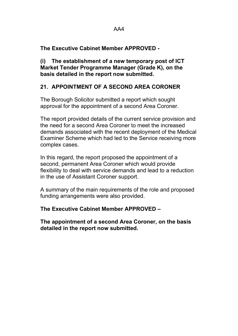**The Executive Cabinet Member APPROVED -**

**(i) The establishment of a new temporary post of ICT Market Tender Programme Manager (Grade K), on the basis detailed in the report now submitted.**

#### **21. APPOINTMENT OF A SECOND AREA CORONER**

The Borough Solicitor submitted a report which sought approval for the appointment of a second Area Coroner.

The report provided details of the current service provision and the need for a second Area Coroner to meet the increased demands associated with the recent deployment of the Medical Examiner Scheme which had led to the Service receiving more complex cases.

In this regard, the report proposed the appointment of a second, permanent Area Coroner which would provide flexibility to deal with service demands and lead to a reduction in the use of Assistant Coroner support.

A summary of the main requirements of the role and proposed funding arrangements were also provided.

**The Executive Cabinet Member APPROVED –**

**The appointment of a second Area Coroner, on the basis detailed in the report now submitted.**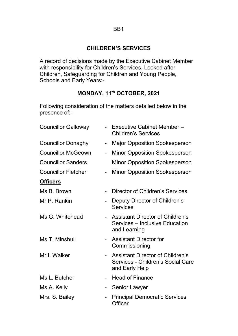#### **CHILDREN'S SERVICES**

A record of decisions made by the Executive Cabinet Member with responsibility for Children's Services, Looked after Children, Safeguarding for Children and Young People, Schools and Early Years:-

#### **MONDAY, 11th OCTOBER, 2021**

Following consideration of the matters detailed below in the presence of:-

| <b>Councillor Galloway</b> |                | - Executive Cabinet Member-<br><b>Children's Services</b>                                      |
|----------------------------|----------------|------------------------------------------------------------------------------------------------|
| <b>Councillor Donaghy</b>  | $\blacksquare$ | <b>Major Opposition Spokesperson</b>                                                           |
| <b>Councillor McGeown</b>  |                | <b>Minor Opposition Spokesperson</b>                                                           |
| <b>Councillor Sanders</b>  |                | <b>Minor Opposition Spokesperson</b>                                                           |
| <b>Councillor Fletcher</b> |                | <b>Minor Opposition Spokesperson</b>                                                           |
| <b>Officers</b>            |                |                                                                                                |
| Ms B. Brown                |                | Director of Children's Services                                                                |
| Mr P. Rankin               |                | Deputy Director of Children's<br><b>Services</b>                                               |
| Ms G. Whitehead            |                | - Assistant Director of Children's<br>Services – Inclusive Education<br>and Learning           |
| Ms T. Minshull             | $\blacksquare$ | <b>Assistant Director for</b><br>Commissioning                                                 |
| Mr I. Walker               |                | <b>Assistant Director of Children's</b><br>Services - Children's Social Care<br>and Early Help |
| Ms L. Butcher              |                | <b>Head of Finance</b>                                                                         |
| Ms A. Kelly                | -              | <b>Senior Lawyer</b>                                                                           |
| Mrs. S. Bailey             |                | <b>Principal Democratic Services</b><br>Officer                                                |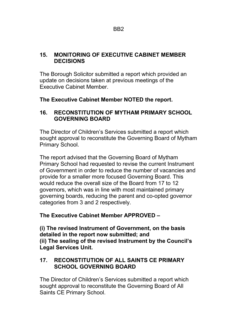#### **15. MONITORING OF EXECUTIVE CABINET MEMBER DECISIONS**

The Borough Solicitor submitted a report which provided an update on decisions taken at previous meetings of the Executive Cabinet Member.

**The Executive Cabinet Member NOTED the report.**

#### **16. RECONSTITUTION OF MYTHAM PRIMARY SCHOOL GOVERNING BOARD**

The Director of Children's Services submitted a report which sought approval to reconstitute the Governing Board of Mytham Primary School.

The report advised that the Governing Board of Mytham Primary School had requested to revise the current Instrument of Government in order to reduce the number of vacancies and provide for a smaller more focused Governing Board. This would reduce the overall size of the Board from 17 to 12 governors, which was in line with most maintained primary governing boards, reducing the parent and co-opted governor categories from 3 and 2 respectively.

**The Executive Cabinet Member APPROVED –**

**(i) The revised Instrument of Government, on the basis detailed in the report now submitted; and (ii) The sealing of the revised Instrument by the Council's Legal Services Unit.**

#### **17. RECONSTITUTION OF ALL SAINTS CE PRIMARY SCHOOL GOVERNING BOARD**

The Director of Children's Services submitted a report which sought approval to reconstitute the Governing Board of All Saints CE Primary School.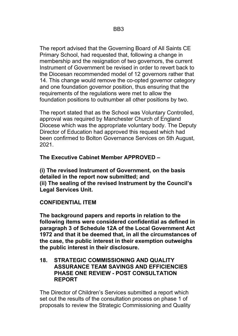The report advised that the Governing Board of All Saints CE Primary School, had requested that, following a change in membership and the resignation of two governors, the current Instrument of Government be revised in order to revert back to the Diocesan recommended model of 12 governors rather that 14. This change would remove the co-opted governor category and one foundation governor position, thus ensuring that the requirements of the regulations were met to allow the foundation positions to outnumber all other positions by two.

The report stated that as the School was Voluntary Controlled, approval was required by Manchester Church of England Diocese which was the appropriate voluntary body. The Deputy Director of Education had approved this request which had been confirmed to Bolton Governance Services on 5th August, 2021.

#### **The Executive Cabinet Member APPROVED –**

**(i) The revised Instrument of Government, on the basis detailed in the report now submitted; and (ii) The sealing of the revised Instrument by the Council's Legal Services Unit.**

#### **CONFIDENTIAL ITEM**

**The background papers and reports in relation to the following items were considered confidential as defined in paragraph 3 of Schedule 12A of the Local Government Act 1972 and that it be deemed that, in all the circumstances of the case, the public interest in their exemption outweighs the public interest in their disclosure.**

#### **18. STRATEGIC COMMISSIONING AND QUALITY ASSURANCE TEAM SAVINGS AND EFFICIENCIES PHASE ONE REVIEW - POST CONSULTATION REPORT**

The Director of Children's Services submitted a report which set out the results of the consultation process on phase 1 of proposals to review the Strategic Commissioning and Quality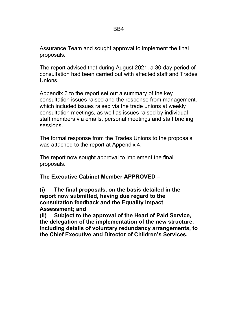Assurance Team and sought approval to implement the final proposals.

The report advised that during August 2021, a 30-day period of consultation had been carried out with affected staff and Trades Unions.

Appendix 3 to the report set out a summary of the key consultation issues raised and the response from management. which included issues raised via the trade unions at weekly consultation meetings, as well as issues raised by individual staff members via emails, personal meetings and staff briefing sessions.

The formal response from the Trades Unions to the proposals was attached to the report at Appendix 4.

The report now sought approval to implement the final proposals.

#### **The Executive Cabinet Member APPROVED –**

**(i) The final proposals, on the basis detailed in the report now submitted, having due regard to the consultation feedback and the Equality Impact Assessment; and**

**(ii) Subject to the approval of the Head of Paid Service, the delegation of the implementation of the new structure, including details of voluntary redundancy arrangements, to the Chief Executive and Director of Children's Services.**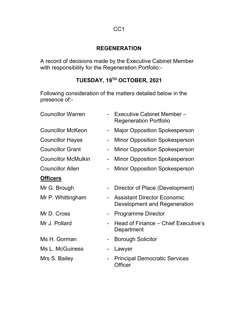#### **REGENERATION**

A record of decisions made by the Executive Cabinet Member with responsibility for the Regeneration Portfolio:-

# **TUESDAY, 19TH OCTOBER, 2021**

Following consideration of the matters detailed below in the presence of:-

| <b>Councillor Warren</b>   |    | Executive Cabinet Member-<br><b>Regeneration Portfolio</b>         |
|----------------------------|----|--------------------------------------------------------------------|
| <b>Councillor McKeon</b>   |    | <b>Major Opposition Spokesperson</b>                               |
| <b>Councillor Hayes</b>    | Ξ. | <b>Minor Opposition Spokesperson</b>                               |
| <b>Councillor Grant</b>    |    | <b>Minor Opposition Spokesperson</b>                               |
| <b>Councillor McMulkin</b> |    | <b>Minor Opposition Spokesperson</b>                               |
| <b>Councillor Allen</b>    |    | <b>Minor Opposition Spokesperson</b>                               |
| <b>Officers</b>            |    |                                                                    |
| Mr G. Brough               |    | Director of Place (Development)                                    |
| Mr P. Whittingham          |    | <b>Assistant Director Economic</b><br>Development and Regeneration |
| Mr D. Cross                |    | <b>Programme Director</b>                                          |
| Mr J. Pollard              |    | Head of Finance – Chief Executive's<br>Department                  |
| Ms H. Gorman               |    | <b>Borough Solicitor</b>                                           |
| Ms L. McGuiness            |    | Lawyer                                                             |
| Mrs S. Bailey              |    | <b>Principal Democratic Services</b><br><b>Officer</b>             |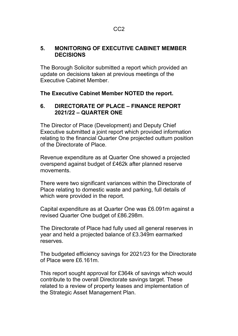#### **5. MONITORING OF EXECUTIVE CABINET MEMBER DECISIONS**

The Borough Solicitor submitted a report which provided an update on decisions taken at previous meetings of the Executive Cabinet Member.

#### **The Executive Cabinet Member NOTED the report.**

#### **6. DIRECTORATE OF PLACE – FINANCE REPORT 2021/22 – QUARTER ONE**

The Director of Place (Development) and Deputy Chief Executive submitted a joint report which provided information relating to the financial Quarter One projected outturn position of the Directorate of Place.

Revenue expenditure as at Quarter One showed a projected overspend against budget of £462k after planned reserve movements.

There were two significant variances within the Directorate of Place relating to domestic waste and parking, full details of which were provided in the report.

Capital expenditure as at Quarter One was £6.091m against a revised Quarter One budget of £86.298m.

The Directorate of Place had fully used all general reserves in year and held a projected balance of £3.349m earmarked reserves.

The budgeted efficiency savings for 2021/23 for the Directorate of Place were £6.161m.

This report sought approval for £364k of savings which would contribute to the overall Directorate savings target. These related to a review of property leases and implementation of the Strategic Asset Management Plan.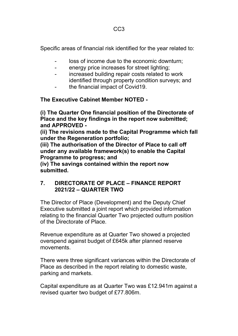Specific areas of financial risk identified for the year related to:

- loss of income due to the economic downturn;
- energy price increases for street lighting;
- increased building repair costs related to work identified through property condition surveys; and
- the financial impact of Covid19.

**The Executive Cabinet Member NOTED -**

**(i) The Quarter One financial position of the Directorate of Place and the key findings in the report now submitted; and APPROVED -**

**(ii) The revisions made to the Capital Programme which fall under the Regeneration portfolio;**

**(iii) The authorisation of the Director of Place to call off under any available framework(s) to enable the Capital Programme to progress; and**

**(iv) The savings contained within the report now submitted.**

#### **7. DIRECTORATE OF PLACE – FINANCE REPORT 2021/22 – QUARTER TWO**

The Director of Place (Development) and the Deputy Chief Executive submitted a joint report which provided information relating to the financial Quarter Two projected outturn position of the Directorate of Place.

Revenue expenditure as at Quarter Two showed a projected overspend against budget of £645k after planned reserve movements.

There were three significant variances within the Directorate of Place as described in the report relating to domestic waste, parking and markets.

Capital expenditure as at Quarter Two was £12.941m against a revised quarter two budget of £77.806m.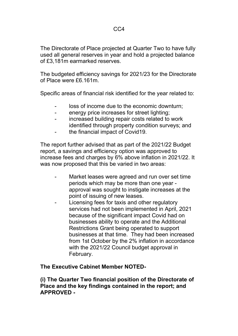The Directorate of Place projected at Quarter Two to have fully used all general reserves in year and hold a projected balance of £3,181m earmarked reserves.

The budgeted efficiency savings for 2021/23 for the Directorate of Place were £6.161m.

Specific areas of financial risk identified for the year related to:

- loss of income due to the economic downturn;
- energy price increases for street lighting;
- increased building repair costs related to work identified through property condition surveys; and
- the financial impact of Covid19.

The report further advised that as part of the 2021/22 Budget report, a savings and efficiency option was approved to increase fees and charges by 6% above inflation in 2021/22. It was now proposed that this be varied in two areas:

- Market leases were agreed and run over set time periods which may be more than one year approval was sought to instigate increases at the point of issuing of new leases.
- Licensing fees for taxis and other regulatory services had not been implemented in April, 2021 because of the significant impact Covid had on businesses ability to operate and the Additional Restrictions Grant being operated to support businesses at that time. They had been increased from 1st October by the 2% inflation in accordance with the 2021/22 Council budget approval in February.

#### **The Executive Cabinet Member NOTED-**

**(i) The Quarter Two financial position of the Directorate of Place and the key findings contained in the report; and APPROVED -**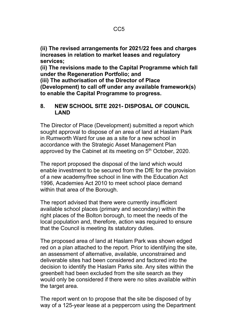**(ii) The revised arrangements for 2021/22 fees and charges increases in relation to market leases and regulatory services;**

**(ii) The revisions made to the Capital Programme which fall under the Regeneration Portfolio; and**

**(iii) The authorisation of the Director of Place (Development) to call off under any available framework(s) to enable the Capital Programme to progress.**

#### **8. NEW SCHOOL SITE 2021- DISPOSAL OF COUNCIL LAND**

The Director of Place (Development) submitted a report which sought approval to dispose of an area of land at Haslam Park in Rumworth Ward for use as a site for a new school in accordance with the Strategic Asset Management Plan approved by the Cabinet at its meeting on 5<sup>th</sup> October, 2020.

The report proposed the disposal of the land which would enable investment to be secured from the DfE for the provision of a new academy/free school in line with the Education Act 1996, Academies Act 2010 to meet school place demand within that area of the Borough.

The report advised that there were currently insufficient available school places (primary and secondary) within the right places of the Bolton borough, to meet the needs of the local population and, therefore, action was required to ensure that the Council is meeting its statutory duties.

The proposed area of land at Haslam Park was shown edged red on a plan attached to the report. Prior to identifying the site, an assessment of alternative, available, unconstrained and deliverable sites had been considered and factored into the decision to identify the Haslam Parks site. Any sites within the greenbelt had been excluded from the site search as they would only be considered if there were no sites available within the target area.

The report went on to propose that the site be disposed of by way of a 125-year lease at a peppercorn using the Department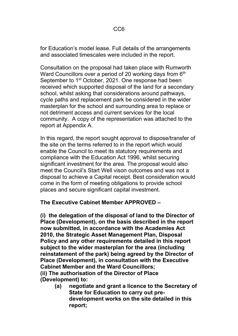for Education's model lease. Full details of the arrangements and associated timescales were included in the report.

Consultation on the proposal had taken place with Rumworth Ward Councillors over a period of 20 working days from 6<sup>th</sup> September to 1<sup>st</sup> October, 2021. One response had been received which supported disposal of the land for a secondary school, whilst asking that considerations around pathways, cycle paths and replacement park be considered in the wider masterplan for the school and surrounding area to replace or not detriment access and current services for the local community. A copy of the representation was attached to the report at Appendix A.

In this regard, the report sought approval to dispose/transfer of the site on the terms referred to in the report which would enable the Council to meet its statutory requirements and compliance with the Education Act 1996, whilst securing significant investment for the area. The proposal would also meet the Council's Start Well vison outcomes and was not a disposal to achieve a Capital receipt. Best consideration would come in the form of meeting obligations to provide school places and secure significant capital investment.

#### **The Executive Cabinet Member APPROVED –**

**(i) the delegation of the disposal of land to the Director of Place (Development), on the basis described in the report now submitted, in accordance with the Academies Act 2010, the Strategic Asset Management Plan, Disposal Policy and any other requirements detailed in this report subject to the wider masterplan for the area (including reinstatement of the park) being agreed by the Director of Place (Development), in consultation with the Executive Cabinet Member and the Ward Councillors; (ii) The authorisation of the Director of Place (Development) to:**

**(a) negotiate and grant a licence to the Secretary of State for Education to carry out predevelopment works on the site detailed in this report;**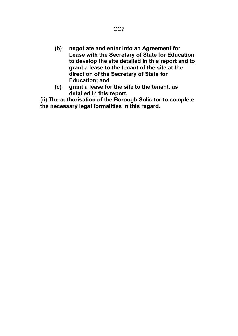- **(b) negotiate and enter into an Agreement for Lease with the Secretary of State for Education to develop the site detailed in this report and to grant a lease to the tenant of the site at the direction of the Secretary of State for Education; and**
- **(c) grant a lease for the site to the tenant, as detailed in this report.**

**(ii) The authorisation of the Borough Solicitor to complete the necessary legal formalities in this regard.**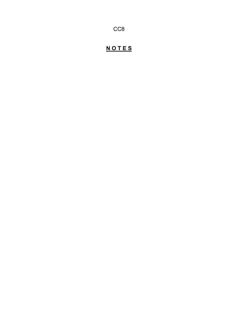CC8

# **N O T E S**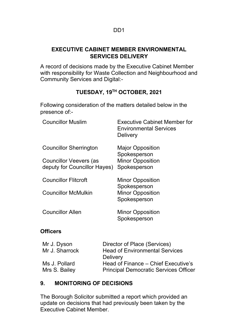#### **EXECUTIVE CABINET MEMBER ENVIRONMENTAL SERVICES DELIVERY**

A record of decisions made by the Executive Cabinet Member with responsibility for Waste Collection and Neighbourhood and Community Services and Digital:-

# **TUESDAY, 19TH OCTOBER, 2021**

Following consideration of the matters detailed below in the presence of:-

| <b>Councillor Muslim</b>      | <b>Executive Cabinet Member for</b><br><b>Environmental Services</b><br><b>Delivery</b> |
|-------------------------------|-----------------------------------------------------------------------------------------|
| <b>Councillor Sherrington</b> | <b>Major Opposition</b><br>Spokesperson                                                 |
| <b>Councillor Veevers (as</b> | <b>Minor Opposition</b>                                                                 |
| deputy for Councillor Hayes)  | Spokesperson                                                                            |
| <b>Councillor Flitcroft</b>   | <b>Minor Opposition</b>                                                                 |
| <b>Councillor McMulkin</b>    | Spokesperson<br><b>Minor Opposition</b>                                                 |
|                               | Spokesperson                                                                            |
| <b>Councillor Allen</b>       | <b>Minor Opposition</b><br>Spokesperson                                                 |
|                               |                                                                                         |

#### **Officers**

| Mr J. Dyson    | Director of Place (Services)                 |
|----------------|----------------------------------------------|
| Mr J. Sharrock | <b>Head of Environmental Services</b>        |
|                | <b>Delivery</b>                              |
| Ms J. Pollard  | Head of Finance – Chief Executive's          |
| Mrs S. Bailey  | <b>Principal Democratic Services Officer</b> |
|                |                                              |

#### **9. MONITORING OF DECISIONS**

The Borough Solicitor submitted a report which provided an update on decisions that had previously been taken by the Executive Cabinet Member.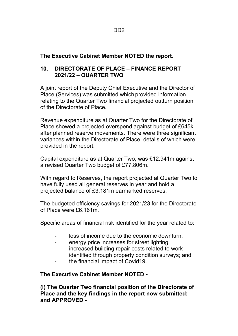**The Executive Cabinet Member NOTED the report.**

#### **10. DIRECTORATE OF PLACE – FINANCE REPORT 2021/22 – QUARTER TWO**

A joint report of the Deputy Chief Executive and the Director of Place (Services) was submitted which provided information relating to the Quarter Two financial projected outturn position of the Directorate of Place.

Revenue expenditure as at Quarter Two for the Directorate of Place showed a projected overspend against budget of £645k after planned reserve movements. There were three significant variances within the Directorate of Place, details of which were provided in the report.

Capital expenditure as at Quarter Two, was £12.941m against a revised Quarter Two budget of £77.806m.

With regard to Reserves, the report projected at Quarter Two to have fully used all general reserves in year and hold a projected balance of £3,181m earmarked reserves.

The budgeted efficiency savings for 2021/23 for the Directorate of Place were £6.161m.

Specific areas of financial risk identified for the year related to:

- loss of income due to the economic downturn,
- energy price increases for street lighting,
- increased building repair costs related to work identified through property condition surveys; and
- the financial impact of Covid19.

#### **The Executive Cabinet Member NOTED -**

**(i) The Quarter Two financial position of the Directorate of Place and the key findings in the report now submitted; and APPROVED -**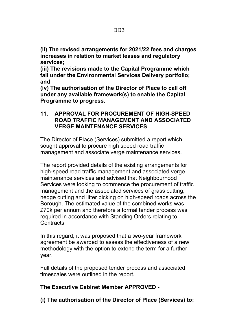**(ii) The revised arrangements for 2021/22 fees and charges increases in relation to market leases and regulatory services;**

**(iii) The revisions made to the Capital Programme which fall under the Environmental Services Delivery portfolio; and**

**(iv) The authorisation of the Director of Place to call off under any available framework(s) to enable the Capital Programme to progress.**

#### **11. APPROVAL FOR PROCUREMENT OF HIGH-SPEED ROAD TRAFFIC MANAGEMENT AND ASSOCIATED VERGE MAINTENANCE SERVICES**

The Director of Place (Services) submitted a report which sought approval to procure high speed road traffic management and associate verge maintenance services.

The report provided details of the existing arrangements for high-speed road traffic management and associated verge maintenance services and advised that Neighbourhood Services were looking to commence the procurement of traffic management and the associated services of grass cutting, hedge cutting and litter picking on high-speed roads across the Borough. The estimated value of the combined works was £70k per annum and therefore a formal tender process was required in accordance with Standing Orders relating to **Contracts** 

In this regard, it was proposed that a two-year framework agreement be awarded to assess the effectiveness of a new methodology with the option to extend the term for a further year.

Full details of the proposed tender process and associated timescales were outlined in the report.

#### **The Executive Cabinet Member APPROVED -**

**(i) The authorisation of the Director of Place (Services) to:**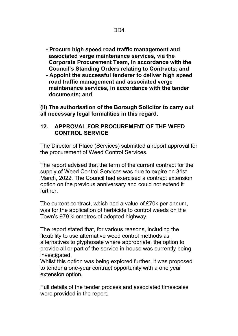- **- Procure high speed road traffic management and associated verge maintenance services, via the Corporate Procurement Team, in accordance with the Council's Standing Orders relating to Contracts; and**
- **- Appoint the successful tenderer to deliver high speed road traffic management and associated verge maintenance services, in accordance with the tender documents; and**

**(ii) The authorisation of the Borough Solicitor to carry out all necessary legal formalities in this regard.**

#### **12. APPROVAL FOR PROCUREMENT OF THE WEED CONTROL SERVICE**

The Director of Place (Services) submitted a report approval for the procurement of Weed Control Services.

The report advised that the term of the current contract for the supply of Weed Control Services was due to expire on 31st March, 2022. The Council had exercised a contract extension option on the previous anniversary and could not extend it further.

The current contract, which had a value of £70k per annum, was for the application of herbicide to control weeds on the Town's 979 kilometres of adopted highway.

The report stated that, for various reasons, including the flexibility to use alternative weed control methods as alternatives to glyphosate where appropriate, the option to provide all or part of the service in-house was currently being investigated.

Whilst this option was being explored further, it was proposed to tender a one-year contract opportunity with a one year extension option.

Full details of the tender process and associated timescales were provided in the report.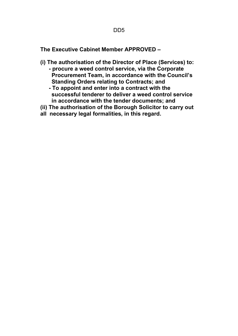**The Executive Cabinet Member APPROVED –**

- **(i) The authorisation of the Director of Place (Services) to: - procure a weed control service, via the Corporate Procurement Team, in accordance with the Council's Standing Orders relating to Contracts; and** 
	- **- To appoint and enter into a contract with the successful tenderer to deliver a weed control service in accordance with the tender documents; and**
- **(ii) The authorisation of the Borough Solicitor to carry out**
- **all necessary legal formalities, in this regard.**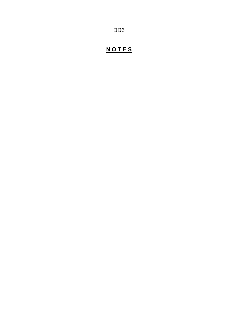DD6

# **N O T E S**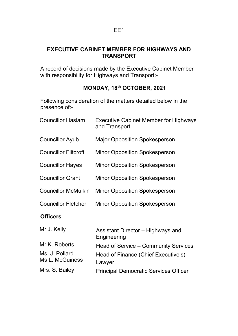#### **EXECUTIVE CABINET MEMBER FOR HIGHWAYS AND TRANSPORT**

A record of decisions made by the Executive Cabinet Member with responsibility for Highways and Transport:-

# **MONDAY, 18th OCTOBER, 2021**

Following consideration of the matters detailed below in the presence of:-

| <b>Councillor Haslam</b>          | <b>Executive Cabinet Member for Highways</b><br>and Transport |
|-----------------------------------|---------------------------------------------------------------|
| <b>Councillor Ayub</b>            | <b>Major Opposition Spokesperson</b>                          |
| <b>Councillor Flitcroft</b>       | <b>Minor Opposition Spokesperson</b>                          |
| <b>Councillor Hayes</b>           | <b>Minor Opposition Spokesperson</b>                          |
| <b>Councillor Grant</b>           | <b>Minor Opposition Spokesperson</b>                          |
| <b>Councillor McMulkin</b>        | <b>Minor Opposition Spokesperson</b>                          |
| <b>Councillor Fletcher</b>        | <b>Minor Opposition Spokesperson</b>                          |
| <b>Officers</b>                   |                                                               |
| Mr J. Kelly                       | Assistant Director – Highways and<br>Engineering              |
| Mr K. Roberts                     | Head of Service – Community Services                          |
| Ms. J. Pollard<br>Ms L. McGuiness | Head of Finance (Chief Executive's)<br>Lawyer                 |
| Mrs. S. Bailey                    | <b>Principal Democratic Services Officer</b>                  |
|                                   |                                                               |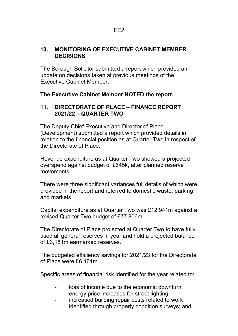#### **10. MONITORING OF EXECUTIVE CABINET MEMBER DECISIONS**

The Borough Solicitor submitted a report which provided an update on decisions taken at previous meetings of the Executive Cabinet Member.

#### **The Executive Cabinet Member NOTED the report.**

#### **11. DIRECTORATE OF PLACE – FINANCE REPORT 2021/22 – QUARTER TWO**

The Deputy Chief Executive and Director of Place (Development) submitted a report which provided details in relation to the financial position as at Quarter Two in respect of the Directorate of Place.

Revenue expenditure as at Quarter Two showed a projected overspend against budget of £645k, after planned reserve movements.

There were three significant variances full details of which were provided in the report and referred to domestic waste, parking and markets.

Capital expenditure as at Quarter Two was £12.941m against a revised Quarter Two budget of £77.806m.

The Directorate of Place projected at Quarter Two to have fully used all general reserves in year and hold a projected balance of £3,181m earmarked reserves.

The budgeted efficiency savings for 2021/23 for the Directorate of Place were £6.161m.

Specific areas of financial risk identified for the year related to:

- loss of income due to the economic downturn,
- energy price increases for street lighting,
- increased building repair costs related to work identified through property condition surveys; and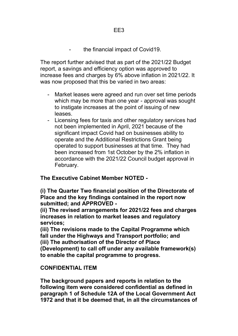the financial impact of Covid19.

The report further advised that as part of the 2021/22 Budget report, a savings and efficiency option was approved to increase fees and charges by 6% above inflation in 2021/22. It was now proposed that this be varied in two areas:

- Market leases were agreed and run over set time periods which may be more than one year - approval was sought to instigate increases at the point of issuing of new leases.
- Licensing fees for taxis and other regulatory services had not been implemented in April, 2021 because of the significant impact Covid had on businesses ability to operate and the Additional Restrictions Grant being operated to support businesses at that time. They had been increased from 1st October by the 2% inflation in accordance with the 2021/22 Council budget approval in February.

**The Executive Cabinet Member NOTED -**

**(i) The Quarter Two financial position of the Directorate of Place and the key findings contained in the report now submitted; and APPROVED -**

**(ii) The revised arrangements for 2021/22 fees and charges increases in relation to market leases and regulatory services;**

**(iii) The revisions made to the Capital Programme which fall under the Highways and Transport portfolio; and (iii) The authorisation of the Director of Place (Development) to call off under any available framework(s) to enable the capital programme to progress.**

#### **CONFIDENTIAL ITEM**

**The background papers and reports in relation to the following item were considered confidential as defined in paragraph 1 of Schedule 12A of the Local Government Act 1972 and that it be deemed that, in all the circumstances of**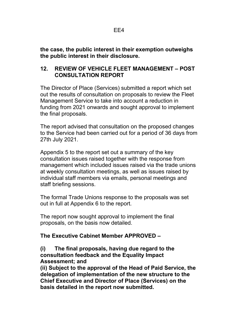**the case, the public interest in their exemption outweighs the public interest in their disclosure.**

#### **12. REVIEW OF VEHICLE FLEET MANAGEMENT – POST CONSULTATION REPORT**

The Director of Place (Services) submitted a report which set out the results of consultation on proposals to review the Fleet Management Service to take into account a reduction in funding from 2021 onwards and sought approval to implement the final proposals.

The report advised that consultation on the proposed changes to the Service had been carried out for a period of 36 days from 27th July 2021.

Appendix 5 to the report set out a summary of the key consultation issues raised together with the response from management which included issues raised via the trade unions at weekly consultation meetings, as well as issues raised by individual staff members via emails, personal meetings and staff briefing sessions.

The formal Trade Unions response to the proposals was set out in full at Appendix 6 to the report.

The report now sought approval to implement the final proposals, on the basis now detailed.

#### **The Executive Cabinet Member APPROVED –**

#### **(i) The final proposals, having due regard to the consultation feedback and the Equality Impact Assessment; and**

**(ii) Subject to the approval of the Head of Paid Service, the delegation of implementation of the new structure to the Chief Executive and Director of Place (Services) on the basis detailed in the report now submitted.**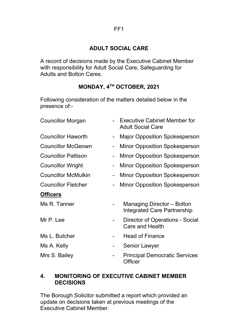#### **ADULT SOCIAL CARE**

A record of decisions made by the Executive Cabinet Member with responsibility for Adult Social Care, Safeguarding for Adults and Bolton Cares.

## **MONDAY, 4TH OCTOBER, 2021**

Following consideration of the matters detailed below in the presence of:-

| <b>Councillor Morgan</b>   |   | <b>Executive Cabinet Member for</b><br><b>Adult Social Care</b> |
|----------------------------|---|-----------------------------------------------------------------|
| <b>Councillor Haworth</b>  |   | <b>Major Opposition Spokesperson</b>                            |
| <b>Councillor McGeown</b>  |   | <b>Minor Opposition Spokesperson</b>                            |
| <b>Councillor Pattison</b> |   | <b>Minor Opposition Spokesperson</b>                            |
| <b>Councillor Wright</b>   |   | <b>Minor Opposition Spokesperson</b>                            |
| <b>Councillor McMulkin</b> |   | <b>Minor Opposition Spokesperson</b>                            |
| <b>Councillor Fletcher</b> |   | <b>Minor Opposition Spokesperson</b>                            |
| <u>Officers</u>            |   |                                                                 |
| Ms R. Tanner               |   | Managing Director – Bolton<br>Integrated Care Partnership       |
| Mr P. Lee                  |   | <b>Director of Operations - Social</b><br>Care and Health       |
| Ms L. Butcher              |   | <b>Head of Finance</b>                                          |
| Ms A. Kelly                | - | Senior Lawyer                                                   |
| Mrs S. Bailey              |   | <b>Principal Democratic Services</b><br><b>Officer</b>          |

#### **4. MONITORING OF EXECUTIVE CABINET MEMBER DECISIONS**

The Borough Solicitor submitted a report which provided an update on decisions taken at previous meetings of the Executive Cabinet Member.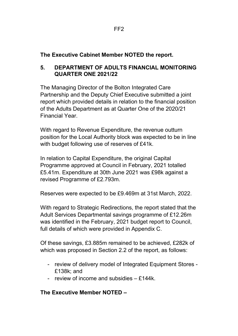**The Executive Cabinet Member NOTED the report.**

#### **5. DEPARTMENT OF ADULTS FINANCIAL MONITORING QUARTER ONE 2021/22**

The Managing Director of the Bolton Integrated Care Partnership and the Deputy Chief Executive submitted a joint report which provided details in relation to the financial position of the Adults Department as at Quarter One of the 2020/21 Financial Year.

With regard to Revenue Expenditure, the revenue outturn position for the Local Authority block was expected to be in line with budget following use of reserves of £41k.

In relation to Capital Expenditure, the original Capital Programme approved at Council in February, 2021 totalled £5.41m. Expenditure at 30th June 2021 was £98k against a revised Programme of £2.793m.

Reserves were expected to be £9.469m at 31st March, 2022.

With regard to Strategic Redirections, the report stated that the Adult Services Departmental savings programme of £12.26m was identified in the February, 2021 budget report to Council, full details of which were provided in Appendix C.

Of these savings, £3.885m remained to be achieved, £282k of which was proposed in Section 2.2 of the report, as follows:

- review of delivery model of Integrated Equipment Stores £138k; and
- review of income and subsidies £144k.

## **The Executive Member NOTED –**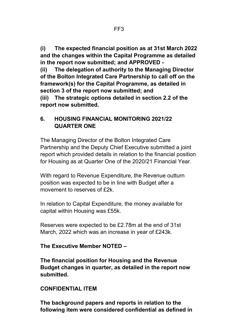**(i) The expected financial position as at 31st March 2022 and the changes within the Capital Programme as detailed in the report now submitted; and APPROVED -** 

**(ii) The delegation of authority to the Managing Director of the Bolton Integrated Care Partnership to call off on the framework(s) for the Capital Programme, as detailed in section 3 of the report now submitted; and (iii) The strategic options detailed in section 2.2 of the report now submitted.**

#### **6. HOUSING FINANCIAL MONITORING 2021/22 QUARTER ONE**

The Managing Director of the Bolton Integrated Care Partnership and the Deputy Chief Executive submitted a joint report which provided details in relation to the financial position for Housing as at Quarter One of the 2020/21 Financial Year.

With regard to Revenue Expenditure, the Revenue outturn position was expected to be in line with Budget after a movement to reserves of  $f2k$ .

In relation to Capital Expenditure, the money available for capital within Housing was £55k.

Reserves were expected to be £2.78m at the end of 31st March, 2022 which was an increase in year of £243k.

#### **The Executive Member NOTED –**

**The financial position for Housing and the Revenue Budget changes in quarter, as detailed in the report now submitted.**

#### **CONFIDENTIAL ITEM**

**The background papers and reports in relation to the following item were considered confidential as defined in**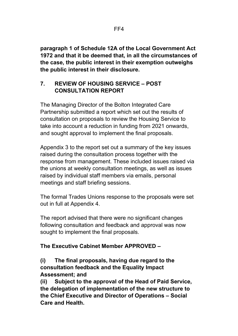**paragraph 1 of Schedule 12A of the Local Government Act 1972 and that it be deemed that, in all the circumstances of the case, the public interest in their exemption outweighs the public interest in their disclosure.**

#### **7. REVIEW OF HOUSING SERVICE – POST CONSULTATION REPORT**

The Managing Director of the Bolton Integrated Care Partnership submitted a report which set out the results of consultation on proposals to review the Housing Service to take into account a reduction in funding from 2021 onwards, and sought approval to implement the final proposals.

Appendix 3 to the report set out a summary of the key issues raised during the consultation process together with the response from management. These included issues raised via the unions at weekly consultation meetings, as well as issues raised by individual staff members via emails, personal meetings and staff briefing sessions.

The formal Trades Unions response to the proposals were set out in full at Appendix 4.

The report advised that there were no significant changes following consultation and feedback and approval was now sought to implement the final proposals.

## **The Executive Cabinet Member APPROVED –**

#### **(i) The final proposals, having due regard to the consultation feedback and the Equality Impact Assessment; and**

**(ii) Subject to the approval of the Head of Paid Service, the delegation of implementation of the new structure to the Chief Executive and Director of Operations – Social Care and Health.**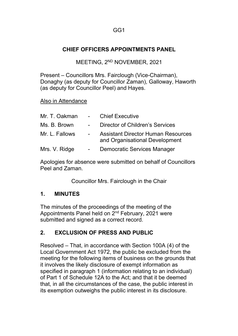#### **CHIEF OFFICERS APPOINTMENTS PANEL**

MEETING, 2<sup>ND</sup> NOVEMBER, 2021

Present – Councillors Mrs. Fairclough (Vice-Chairman), Donaghy (as deputy for Councillor Zaman), Galloway, Haworth (as deputy for Councillor Peel) and Hayes.

#### Also in Attendance

| Mr. T. Oakman  | $\sim 10^{-10}$ km s $^{-1}$ | <b>Chief Executive</b>                                                      |
|----------------|------------------------------|-----------------------------------------------------------------------------|
| Ms. B. Brown   | $\sim 100$                   | Director of Children's Services                                             |
| Mr. L. Fallows |                              | <b>Assistant Director Human Resources</b><br>and Organisational Development |
| Mrs. V. Ridge  |                              | Democratic Services Manager                                                 |

Apologies for absence were submitted on behalf of Councillors Peel and Zaman.

Councillor Mrs. Fairclough in the Chair

#### **1. MINUTES**

The minutes of the proceedings of the meeting of the Appointments Panel held on 2nd February, 2021 were submitted and signed as a correct record.

#### **2. EXCLUSION OF PRESS AND PUBLIC**

Resolved – That, in accordance with Section 100A (4) of the Local Government Act 1972, the public be excluded from the meeting for the following items of business on the grounds that it involves the likely disclosure of exempt information as specified in paragraph 1 (information relating to an individual) of Part 1 of Schedule 12A to the Act; and that it be deemed that, in all the circumstances of the case, the public interest in its exemption outweighs the public interest in its disclosure.